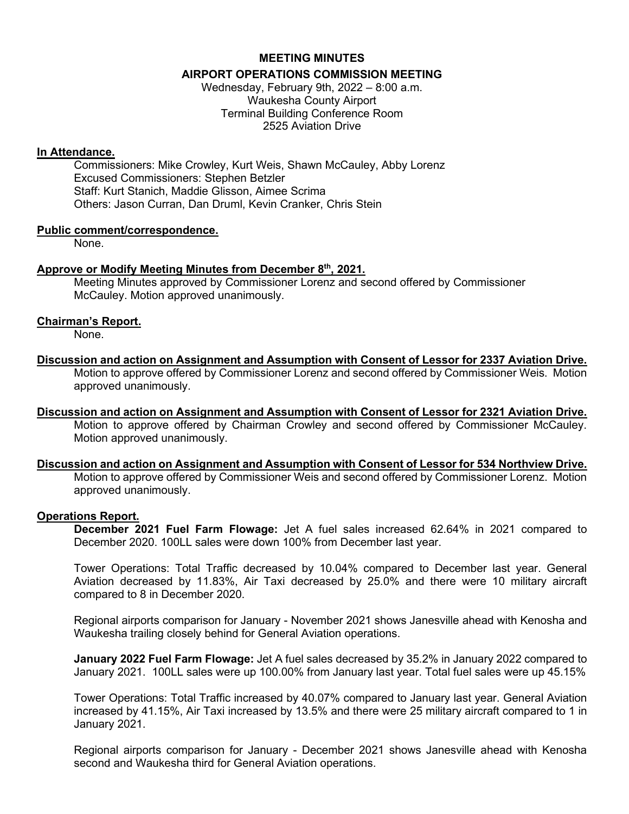## **MEETING MINUTES AIRPORT OPERATIONS COMMISSION MEETING**

Wednesday, February 9th, 2022 – 8:00 a.m. Waukesha County Airport Terminal Building Conference Room 2525 Aviation Drive

#### **In Attendance.**

Commissioners: Mike Crowley, Kurt Weis, Shawn McCauley, Abby Lorenz Excused Commissioners: Stephen Betzler Staff: Kurt Stanich, Maddie Glisson, Aimee Scrima Others: Jason Curran, Dan Druml, Kevin Cranker, Chris Stein

#### **Public comment/correspondence.**

None.

#### **Approve or Modify Meeting Minutes from December 8th, 2021.**

Meeting Minutes approved by Commissioner Lorenz and second offered by Commissioner McCauley. Motion approved unanimously.

#### **Chairman's Report.**

None.

**Discussion and action on Assignment and Assumption with Consent of Lessor for 2337 Aviation Drive.**

Motion to approve offered by Commissioner Lorenz and second offered by Commissioner Weis. Motion approved unanimously.

**Discussion and action on Assignment and Assumption with Consent of Lessor for 2321 Aviation Drive.** Motion to approve offered by Chairman Crowley and second offered by Commissioner McCauley. Motion approved unanimously.

# **Discussion and action on Assignment and Assumption with Consent of Lessor for 534 Northview Drive.**

Motion to approve offered by Commissioner Weis and second offered by Commissioner Lorenz. Motion approved unanimously.

#### **Operations Report.**

**December 2021 Fuel Farm Flowage:** Jet A fuel sales increased 62.64% in 2021 compared to December 2020. 100LL sales were down 100% from December last year.

Tower Operations: Total Traffic decreased by 10.04% compared to December last year. General Aviation decreased by 11.83%, Air Taxi decreased by 25.0% and there were 10 military aircraft compared to 8 in December 2020.

Regional airports comparison for January - November 2021 shows Janesville ahead with Kenosha and Waukesha trailing closely behind for General Aviation operations.

**January 2022 Fuel Farm Flowage:** Jet A fuel sales decreased by 35.2% in January 2022 compared to January 2021. 100LL sales were up 100.00% from January last year. Total fuel sales were up 45.15%

Tower Operations: Total Traffic increased by 40.07% compared to January last year. General Aviation increased by 41.15%, Air Taxi increased by 13.5% and there were 25 military aircraft compared to 1 in January 2021.

Regional airports comparison for January - December 2021 shows Janesville ahead with Kenosha second and Waukesha third for General Aviation operations.